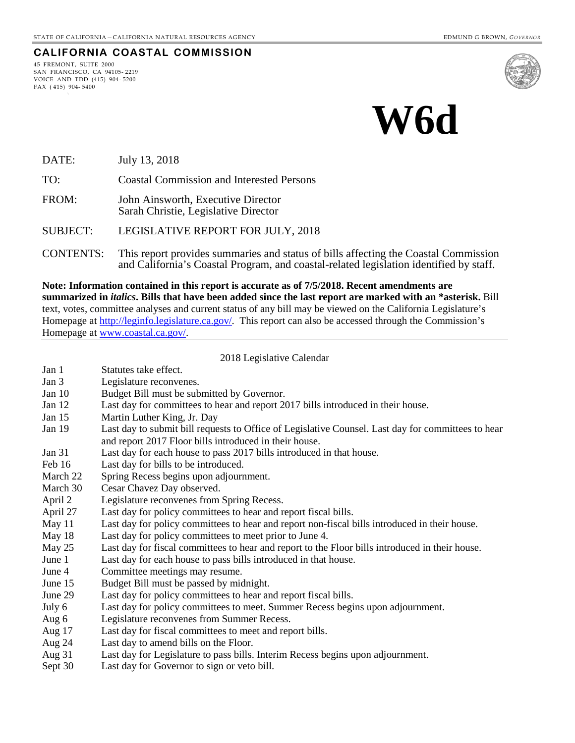#### **CALIFORNIA COASTAL COMMISSION**

45 FREMONT, SUITE 2000 SAN FRANCISCO, CA 94105- 2219 VOICE AND TDD (415) 904- 5200 FAX ( 415) 904- 5400



# **W6d**

- DATE: July 13, 2018
- TO: Coastal Commission and Interested Persons
- FROM: John Ainsworth, Executive Director Sarah Christie, Legislative Director
- SUBJECT: LEGISLATIVE REPORT FOR JULY, 2018
- CONTENTS: This report provides summaries and status of bills affecting the Coastal Commission and California's Coastal Program, and coastal-related legislation identified by staff.

**Note: Information contained in this report is accurate as of 7/5/2018. Recent amendments are summarized in** *italics***. Bills that have been added since the last report are marked with an \*asterisk.** Bill text, votes, committee analyses and current status of any bill may be viewed on the California Legislature's Homepage at [http://leginfo.legislature.ca.gov/.](http://leginfo.legislature.ca.gov/) This report can also be accessed through the Commission's Homepage at [www.coastal.ca.gov/.](http://www.coastal.ca.gov/)

2018 Legislative Calendar

Jan 1 Statutes take effect. Jan 3 Legislature reconvenes. Jan 10 Budget Bill must be submitted by Governor. Jan 12 Last day for committees to hear and report 2017 bills introduced in their house. Jan 15 Martin Luther King, Jr. Day Jan 19 Last day to submit bill requests to Office of Legislative Counsel. Last day for committees to hear and report 2017 Floor bills introduced in their house. Jan 31 Last day for each house to pass 2017 bills introduced in that house. Feb 16 Last day for bills to be introduced. March 22 Spring Recess begins upon adjournment. March 30 Cesar Chavez Day observed. April 2 Legislature reconvenes from Spring Recess. April 27 Last day for policy committees to hear and report fiscal bills. May 11 Last day for policy committees to hear and report non-fiscal bills introduced in their house. May 18 Last day for policy committees to meet prior to June 4. May 25 Last day for fiscal committees to hear and report to the Floor bills introduced in their house. June 1 Last day for each house to pass bills introduced in that house. June 4 Committee meetings may resume. June 15 Budget Bill must be passed by midnight. June 29 Last day for policy committees to hear and report fiscal bills. July 6 Last day for policy committees to meet. Summer Recess begins upon adjournment. Aug 6 Legislature reconvenes from Summer Recess. Aug 17 Last day for fiscal committees to meet and report bills. Aug 24 Last day to amend bills on the Floor. Aug 31 Last day for Legislature to pass bills. Interim Recess begins upon adjournment. Sept 30 Last day for Governor to sign or veto bill.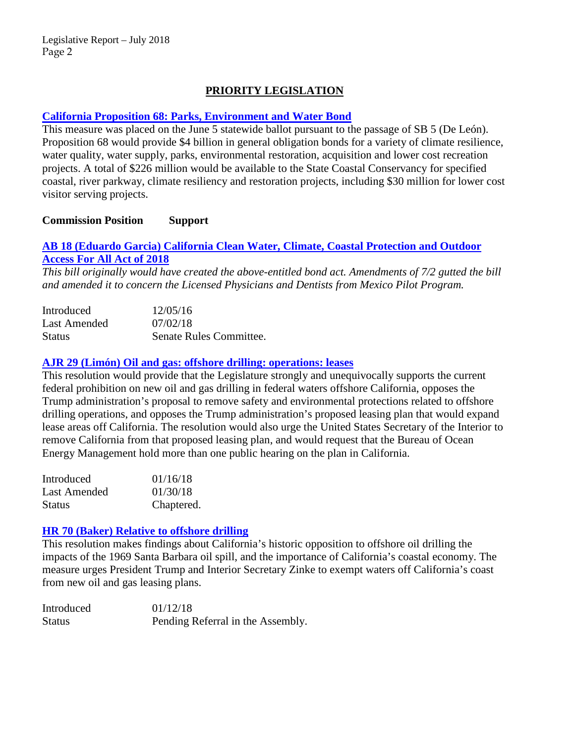# **PRIORITY LEGISLATION**

## **[California Proposition 68: Parks, Environment and Water Bond](http://www.sos.ca.gov/elections/ballot-measures/qualified-ballot-measures/)**

This measure was placed on the June 5 statewide ballot pursuant to the passage of SB 5 (De León). Proposition 68 would provide \$4 billion in general obligation bonds for a variety of climate resilience, water quality, water supply, parks, environmental restoration, acquisition and lower cost recreation projects. A total of \$226 million would be available to the State Coastal Conservancy for specified coastal, river parkway, climate resiliency and restoration projects, including \$30 million for lower cost visitor serving projects.

## **Commission Position Support**

# **AB 18 (Eduardo Garcia) [California Clean Water, Climate, Coastal Protection and Outdoor](http://leginfo.legislature.ca.gov/faces/billNavClient.xhtml?bill_id=201720180AB18)  [Access For All Act of 2018](http://leginfo.legislature.ca.gov/faces/billNavClient.xhtml?bill_id=201720180AB18)**

*This bill originally would have created the above-entitled bond act. Amendments of 7/2 gutted the bill and amended it to concern the Licensed Physicians and Dentists from Mexico Pilot Program.*

| Introduced    | 12/05/16                |
|---------------|-------------------------|
| Last Amended  | 07/02/18                |
| <b>Status</b> | Senate Rules Committee. |

## **[AJR 29 \(Limón\) Oil and gas: offshore drilling: operations: leases](http://leginfo.legislature.ca.gov/faces/billNavClient.xhtml?bill_id=201720180AJR29)**

This resolution would provide that the Legislature strongly and unequivocally supports the current federal prohibition on new oil and gas drilling in federal waters offshore California, opposes the Trump administration's proposal to remove safety and environmental protections related to offshore drilling operations, and opposes the Trump administration's proposed leasing plan that would expand lease areas off California. The resolution would also urge the United States Secretary of the Interior to remove California from that proposed leasing plan, and would request that the Bureau of Ocean Energy Management hold more than one public hearing on the plan in California.

| Introduced    | 01/16/18   |
|---------------|------------|
| Last Amended  | 01/30/18   |
| <b>Status</b> | Chaptered. |

## **HR 70 (Baker) [Relative to offshore drilling](http://leginfo.legislature.ca.gov/faces/billNavClient.xhtml?bill_id=201720180HR70)**

This resolution makes findings about California's historic opposition to offshore oil drilling the impacts of the 1969 Santa Barbara oil spill, and the importance of California's coastal economy. The measure urges President Trump and Interior Secretary Zinke to exempt waters off California's coast from new oil and gas leasing plans.

| Introduced    | 01/12/18                          |
|---------------|-----------------------------------|
| <b>Status</b> | Pending Referral in the Assembly. |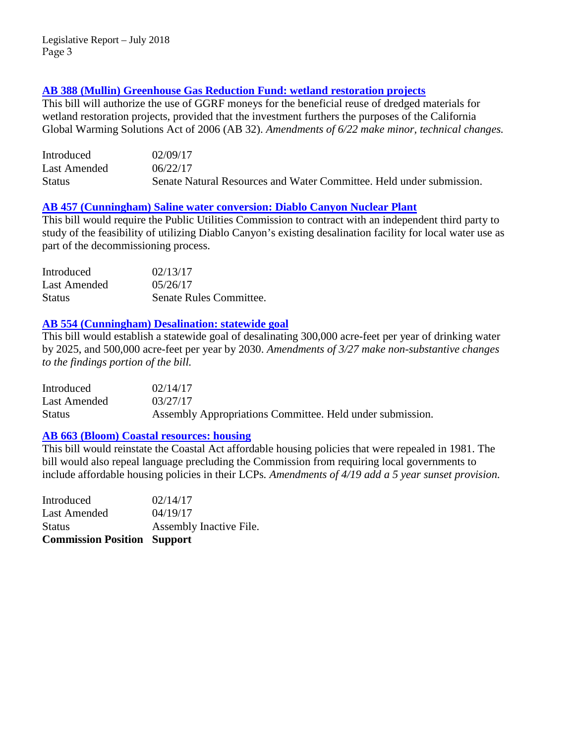## **AB 388 (Mullin) Greenhouse Gas [Reduction Fund: wetland restoration projects](http://leginfo.legislature.ca.gov/faces/billNavClient.xhtml?bill_id=201720180AB388)**

This bill will authorize the use of GGRF moneys for the beneficial reuse of dredged materials for wetland restoration projects, provided that the investment furthers the purposes of the California Global Warming Solutions Act of 2006 (AB 32). *Amendments of 6/22 make minor, technical changes.*

| Introduced    | 02/09/17                                                             |
|---------------|----------------------------------------------------------------------|
| Last Amended  | 06/22/17                                                             |
| <b>Status</b> | Senate Natural Resources and Water Committee. Held under submission. |

## **AB 457 [\(Cunningham\) Saline water conversion: Diablo Canyon Nuclear Plant](http://leginfo.legislature.ca.gov/faces/billNavClient.xhtml?bill_id=201720180AB457)**

This bill would require the Public Utilities Commission to contract with an independent third party to study of the feasibility of utilizing Diablo Canyon's existing desalination facility for local water use as part of the decommissioning process.

| Introduced    | 02/13/17                |
|---------------|-------------------------|
| Last Amended  | 0.5/26/17               |
| <b>Status</b> | Senate Rules Committee. |

## **AB 554 [\(Cunningham\) Desalination: statewide goal](http://leginfo.legislature.ca.gov/faces/billNavClient.xhtml?bill_id=201720180AB554)**

This bill would establish a statewide goal of desalinating 300,000 acre-feet per year of drinking water by 2025, and 500,000 acre-feet per year by 2030. *Amendments of 3/27 make non-substantive changes to the findings portion of the bill.*

| Introduced   | 02/14/17                                                  |
|--------------|-----------------------------------------------------------|
| Last Amended | 03/27/17                                                  |
| Status       | Assembly Appropriations Committee. Held under submission. |

## **AB 663 (Bloom) [Coastal resources: housing](http://leginfo.legislature.ca.gov/faces/billNavClient.xhtml?bill_id=201720180AB663)**

This bill would reinstate the Coastal Act affordable housing policies that were repealed in 1981. The bill would also repeal language precluding the Commission from requiring local governments to include affordable housing policies in their LCPs*. Amendments of 4/19 add a 5 year sunset provision.*

| <b>Commission Position Support</b> |
|------------------------------------|
| Assembly Inactive File.            |
| 04/19/17                           |
| 02/14/17                           |
|                                    |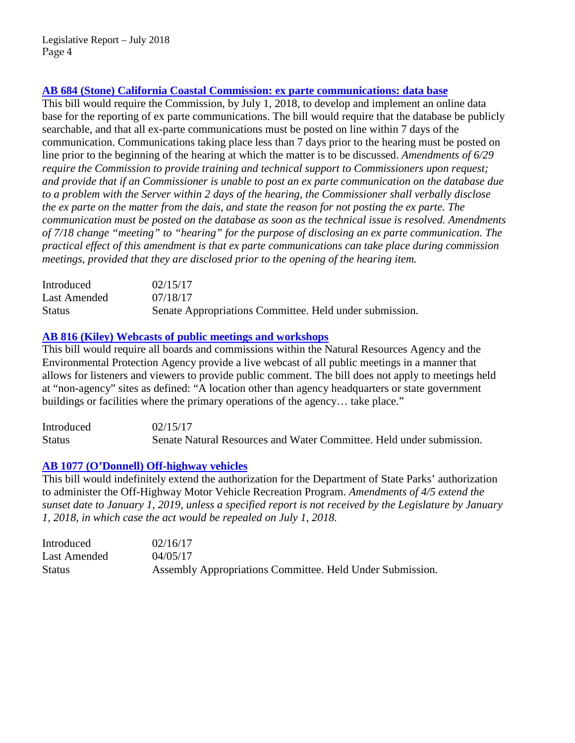# **AB 684 [\(Stone\) California Coastal Commission: ex parte communications: data base](http://leginfo.legislature.ca.gov/faces/billNavClient.xhtml?bill_id=201720180AB684)**

This bill would require the Commission, by July 1, 2018, to develop and implement an online data base for the reporting of ex parte communications. The bill would require that the database be publicly searchable, and that all ex-parte communications must be posted on line within 7 days of the communication. Communications taking place less than 7 days prior to the hearing must be posted on line prior to the beginning of the hearing at which the matter is to be discussed. *Amendments of 6/29 require the Commission to provide training and technical support to Commissioners upon request; and provide that if an Commissioner is unable to post an ex parte communication on the database due to a problem with the Server within 2 days of the hearing, the Commissioner shall verbally disclose the ex parte on the matter from the dais, and state the reason for not posting the ex parte. The communication must be posted on the database as soon as the technical issue is resolved. Amendments of 7/18 change "meeting" to "hearing" for the purpose of disclosing an ex parte communication. The practical effect of this amendment is that ex parte communications can take place during commission meetings, provided that they are disclosed prior to the opening of the hearing item.*

| Introduced    | 02/15/17                                                |
|---------------|---------------------------------------------------------|
| Last Amended  | 07/18/17                                                |
| <b>Status</b> | Senate Appropriations Committee. Held under submission. |

## **[AB 816 \(Kiley\) Webcasts of public meetings and workshops](http://leginfo.legislature.ca.gov/faces/billTextClient.xhtml?bill_id=201720180AB816)**

This bill would require all boards and commissions within the Natural Resources Agency and the Environmental Protection Agency provide a live webcast of all public meetings in a manner that allows for listeners and viewers to provide public comment. The bill does not apply to meetings held at "non-agency" sites as defined: "A location other than agency headquarters or state government buildings or facilities where the primary operations of the agency... take place."

| Introduced    | 02/15/17                                                             |
|---------------|----------------------------------------------------------------------|
| <b>Status</b> | Senate Natural Resources and Water Committee. Held under submission. |

# **[AB 1077 \(O'Donnell\) Off-highway vehicles](http://leginfo.legislature.ca.gov/faces/billNavClient.xhtml?bill_id=201720180AB1077)**

This bill would indefinitely extend the authorization for the Department of State Parks' authorization to administer the Off-Highway Motor Vehicle Recreation Program. *Amendments of 4/5 extend the sunset date to January 1, 2019, unless a specified report is not received by the Legislature by January 1, 2018, in which case the act would be repealed on July 1, 2018.*

| Introduced    | 02/16/17                                                  |
|---------------|-----------------------------------------------------------|
| Last Amended  | 04/05/17                                                  |
| <b>Status</b> | Assembly Appropriations Committee. Held Under Submission. |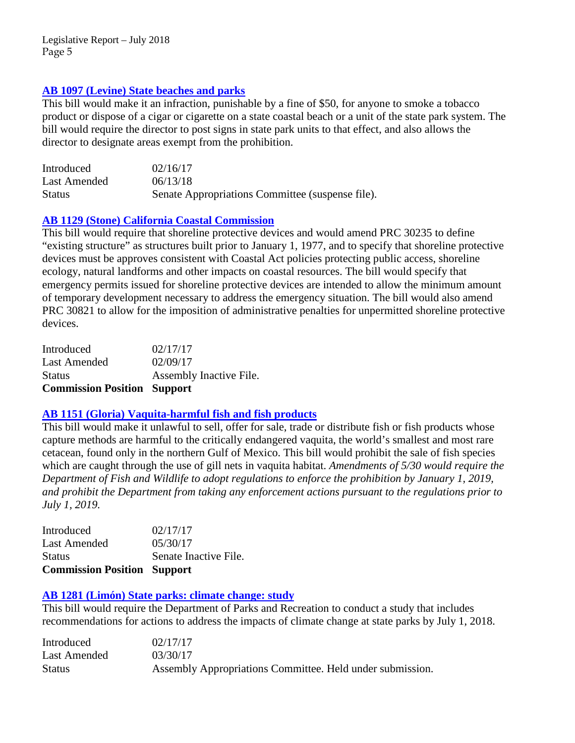## **[AB 1097 \(Levine\) State beaches and parks](http://leginfo.legislature.ca.gov/faces/billTextClient.xhtml?bill_id=201720180AB1097&search_keywords=smoking)**

This bill would make it an infraction, punishable by a fine of \$50, for anyone to smoke a tobacco product or dispose of a cigar or cigarette on a state coastal beach or a unit of the state park system. The bill would require the director to post signs in state park units to that effect, and also allows the director to designate areas exempt from the prohibition.

| Introduced    | 02/16/17                                         |
|---------------|--------------------------------------------------|
| Last Amended  | 06/13/18                                         |
| <b>Status</b> | Senate Appropriations Committee (suspense file). |

## **[AB 1129 \(Stone\) California Coastal Commission](http://leginfo.legislature.ca.gov/faces/billNavClient.xhtml?bill_id=201720180AB1129)**

This bill would require that shoreline protective devices and would amend PRC 30235 to define "existing structure" as structures built prior to January 1, 1977, and to specify that shoreline protective devices must be approves consistent with Coastal Act policies protecting public access, shoreline ecology, natural landforms and other impacts on coastal resources. The bill would specify that emergency permits issued for shoreline protective devices are intended to allow the minimum amount of temporary development necessary to address the emergency situation. The bill would also amend PRC 30821 to allow for the imposition of administrative penalties for unpermitted shoreline protective devices.

| <b>Commission Position Support</b> |                         |
|------------------------------------|-------------------------|
| <b>Status</b>                      | Assembly Inactive File. |
| Last Amended                       | 02/09/17                |
| Introduced                         | 02/17/17                |

## **AB 1151 (Gloria) [Vaquita-harmful fish and fish products](http://leginfo.legislature.ca.gov/faces/billNavClient.xhtml?bill_id=201720180AB1151)**

This bill would make it unlawful to sell, offer for sale, trade or distribute fish or fish products whose capture methods are harmful to the critically endangered vaquita, the world's smallest and most rare cetacean, found only in the northern Gulf of Mexico. This bill would prohibit the sale of fish species which are caught through the use of gill nets in vaquita habitat. *Amendments of 5/30 would require the Department of Fish and Wildlife to adopt regulations to enforce the prohibition by January 1, 2019, and prohibit the Department from taking any enforcement actions pursuant to the regulations prior to July 1, 2019.*

| <b>Commission Position Support</b> |
|------------------------------------|
| Senate Inactive File.              |
| 05/30/17                           |
| 02/17/17                           |
|                                    |

## **[AB 1281 \(Limón\) State parks: climate change: study](http://leginfo.legislature.ca.gov/faces/billNavClient.xhtml?bill_id=201720180AB1281)**

This bill would require the Department of Parks and Recreation to conduct a study that includes recommendations for actions to address the impacts of climate change at state parks by July 1, 2018.

| Introduced    | 02/17/17                                                  |
|---------------|-----------------------------------------------------------|
| Last Amended  | 03/30/17                                                  |
| <b>Status</b> | Assembly Appropriations Committee. Held under submission. |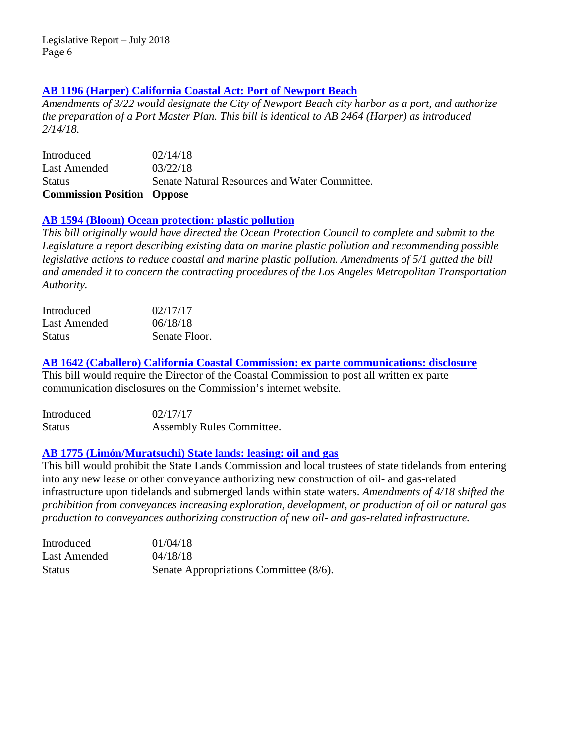## **[AB 1196 \(Harper\) California Coastal Act: Port of Newport Beach](http://leginfo.legislature.ca.gov/faces/billNavClient.xhtml?bill_id=201720180AB1196)**

*Amendments of 3/22 would designate the City of Newport Beach city harbor as a port, and authorize the preparation of a Port Master Plan. This bill is identical to AB 2464 (Harper) as introduced 2/14/18.* 

Introduced 02/14/18 Last Amended  $03/22/18$ Status Senate Natural Resources and Water Committee. **Commission Position Oppose**

## **[AB 1594 \(Bloom\) Ocean protection: plastic pollution](http://leginfo.legislature.ca.gov/faces/billNavClient.xhtml?bill_id=201720180AB1594)**

*This bill originally would have directed the Ocean Protection Council to complete and submit to the Legislature a report describing existing data on marine plastic pollution and recommending possible legislative actions to reduce coastal and marine plastic pollution. Amendments of 5/1 gutted the bill and amended it to concern the contracting procedures of the Los Angeles Metropolitan Transportation Authority.*

| Introduced    | 02/17/17      |
|---------------|---------------|
| Last Amended  | 06/18/18      |
| <b>Status</b> | Senate Floor. |

**[AB 1642 \(Caballero\) California Coastal Commission: ex parte communications: disclosure](http://leginfo.legislature.ca.gov/faces/billNavClient.xhtml?bill_id=201720180AB1642)**

This bill would require the Director of the Coastal Commission to post all written ex parte communication disclosures on the Commission's internet website.

| Introduced    | 02/17/17                         |
|---------------|----------------------------------|
| <b>Status</b> | <b>Assembly Rules Committee.</b> |

## **AB 1775 (Limón/Muratsuchi) [State lands: leasing: oil and gas](http://leginfo.legislature.ca.gov/faces/billNavClient.xhtml?bill_id=201720180AB1775)**

This bill would prohibit the State Lands Commission and local trustees of state tidelands from entering into any new lease or other conveyance authorizing new construction of oil- and gas-related infrastructure upon tidelands and submerged lands within state waters. *Amendments of 4/18 shifted the prohibition from conveyances increasing exploration, development, or production of oil or natural gas production to conveyances authorizing construction of new oil- and gas-related infrastructure.*

| Introduced    | 01/04/18                               |
|---------------|----------------------------------------|
| Last Amended  | 04/18/18                               |
| <b>Status</b> | Senate Appropriations Committee (8/6). |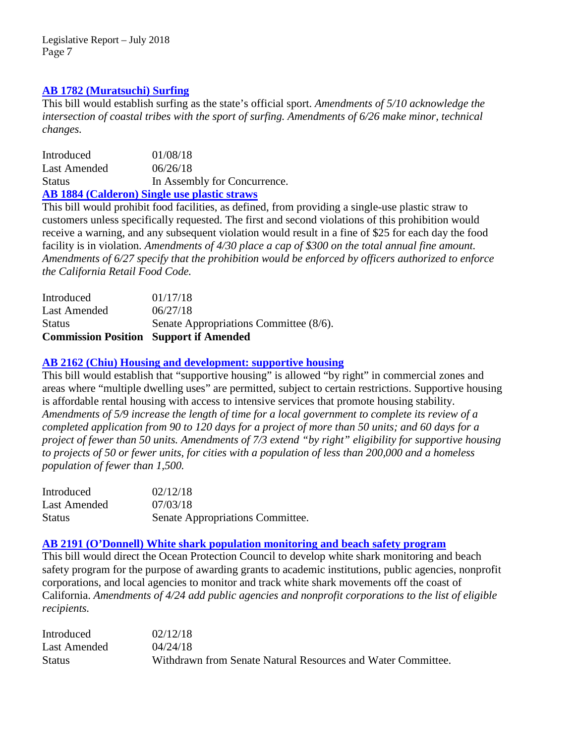## **[AB 1782 \(Muratsuchi\) Surfing](https://leginfo.legislature.ca.gov/faces/billTextClient.xhtml?bill_id=201720180AB1782)**

This bill would establish surfing as the state's official sport. *Amendments of 5/10 acknowledge the intersection of coastal tribes with the sport of surfing. Amendments of 6/26 make minor, technical changes.*

Introduced 01/08/18 Last Amended  $06/26/18$ Status In Assembly for Concurrence. **[AB 1884 \(Calderon\) Single use plastic straws](http://leginfo.legislature.ca.gov/faces/billNavClient.xhtml?bill_id=201720180AB1884)**

This bill would prohibit food facilities, as defined, from providing a single-use plastic straw to customers unless specifically requested. The first and second violations of this prohibition would receive a warning, and any subsequent violation would result in a fine of \$25 for each day the food facility is in violation. *Amendments of 4/30 place a cap of \$300 on the total annual fine amount. Amendments of 6/27 specify that the prohibition would be enforced by officers authorized to enforce the California Retail Food Code.*

| Introduced                                    | 01/17/18                               |
|-----------------------------------------------|----------------------------------------|
| Last Amended                                  | 06/27/18                               |
| <b>Status</b>                                 | Senate Appropriations Committee (8/6). |
| <b>Commission Position Support if Amended</b> |                                        |

## **AB 2162 [\(Chiu\) Housing and development: supportive housing](http://leginfo.legislature.ca.gov/faces/billNavClient.xhtml?bill_id=201720180AB2162)**

This bill would establish that "supportive housing" is allowed "by right" in commercial zones and areas where "multiple dwelling uses" are permitted, subject to certain restrictions. Supportive housing is affordable rental housing with access to intensive services that promote housing stability. *Amendments of 5/9 increase the length of time for a local government to complete its review of a completed application from 90 to 120 days for a project of more than 50 units; and 60 days for a project of fewer than 50 units. Amendments of 7/3 extend "by right" eligibility for supportive housing to projects of 50 or fewer units, for cities with a population of less than 200,000 and a homeless population of fewer than 1,500.*

| Introduced    | 02/12/18                         |
|---------------|----------------------------------|
| Last Amended  | 07/03/18                         |
| <b>Status</b> | Senate Appropriations Committee. |

## **[AB 2191 \(O'Donnell\) White shark population monitoring and beach safety program](http://leginfo.legislature.ca.gov/faces/billTextClient.xhtml?bill_id=201720180AB2191)**

This bill would direct the Ocean Protection Council to develop white shark monitoring and beach safety program for the purpose of awarding grants to academic institutions, public agencies, nonprofit corporations, and local agencies to monitor and track white shark movements off the coast of California. *Amendments of 4/24 add public agencies and nonprofit corporations to the list of eligible recipients.*

Introduced 02/12/18 Last Amended  $04/24/18$ Status Withdrawn from Senate Natural Resources and Water Committee.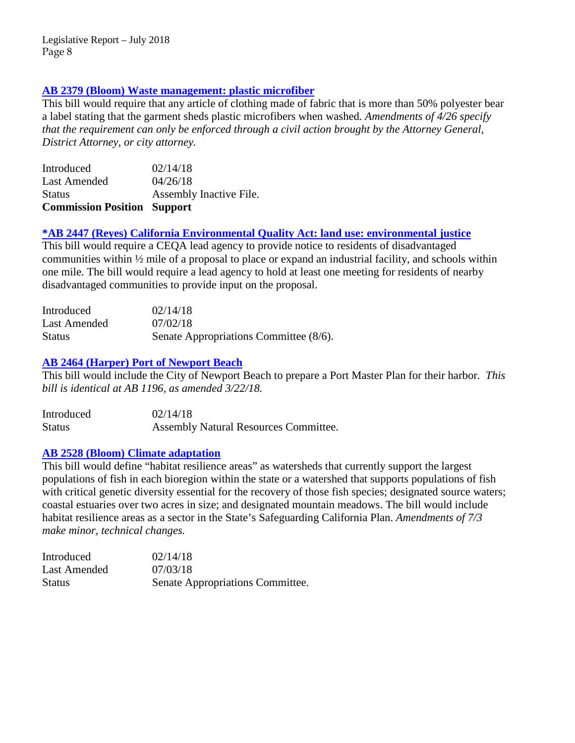## **[AB 2379 \(Bloom\) Waste management: plastic](http://leginfo.legislature.ca.gov/faces/billNavClient.xhtml?bill_id=201720180AB2379) microfiber**

This bill would require that any article of clothing made of fabric that is more than 50% polyester bear a label stating that the garment sheds plastic microfibers when washed*. Amendments of 4/26 specify that the requirement can only be enforced through a civil action brought by the Attorney General, District Attorney, or city attorney.*

| <b>Commission Position Support</b> |                         |
|------------------------------------|-------------------------|
| <b>Status</b>                      | Assembly Inactive File. |
| Last Amended                       | 04/26/18                |
| Introduced                         | 02/14/18                |

## **[\\*AB 2447 \(Reyes\) California Environmental Quality Act: land use: environmental justice](https://leginfo.legislature.ca.gov/faces/billNavClient.xhtml?bill_id=201720180AB2447)**

This bill would require a CEQA lead agency to provide notice to residents of disadvantaged communities within ½ mile of a proposal to place or expand an industrial facility, and schools within one mile. The bill would require a lead agency to hold at least one meeting for residents of nearby disadvantaged communities to provide input on the proposal.

| Introduced    | 02/14/18                               |
|---------------|----------------------------------------|
| Last Amended  | 07/02/18                               |
| <b>Status</b> | Senate Appropriations Committee (8/6). |

## **[AB 2464 \(Harper\) Port of Newport Beach](http://leginfo.legislature.ca.gov/faces/billNavClient.xhtml?bill_id=201720180AB2464)**

This bill would include the City of Newport Beach to prepare a Port Master Plan for their harbor. *This bill is identical at AB 1196, as amended 3/22/18.*

| Introduced    | 02/14/18                              |
|---------------|---------------------------------------|
| <b>Status</b> | Assembly Natural Resources Committee. |

## **[AB 2528 \(Bloom\) Climate adaptation](https://leginfo.legislature.ca.gov/faces/billNavClient.xhtml?bill_id=201720180AB2528)**

This bill would define "habitat resilience areas" as watersheds that currently support the largest populations of fish in each bioregion within the state or a watershed that supports populations of fish with critical genetic diversity essential for the recovery of those fish species; designated source waters; coastal estuaries over two acres in size; and designated mountain meadows. The bill would include habitat resilience areas as a sector in the State's Safeguarding California Plan. *Amendments of 7/3 make minor, technical changes.*

| <b>Introduced</b> | 02/14/18                         |
|-------------------|----------------------------------|
| Last Amended      | 07/03/18                         |
| Status            | Senate Appropriations Committee. |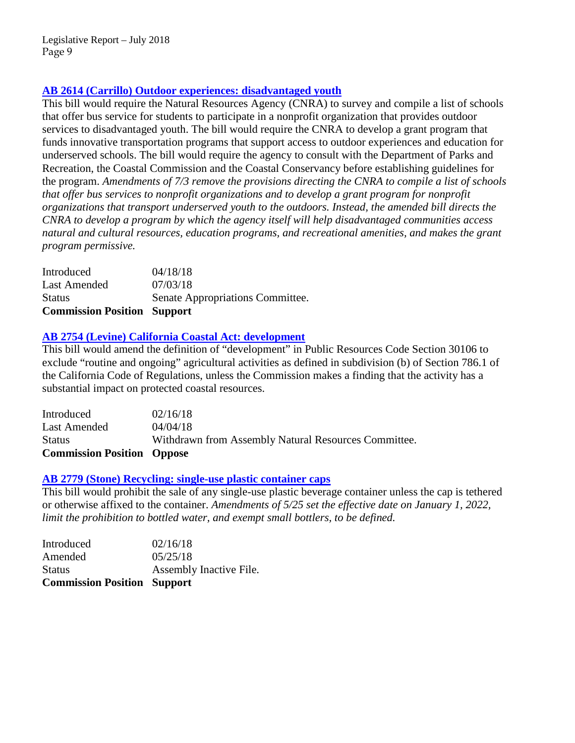# **[AB 2614 \(Carrillo\) Outdoor experiences: disadvantaged youth](https://leginfo.legislature.ca.gov/faces/billNavClient.xhtml?bill_id=201720180AB2614)**

This bill would require the Natural Resources Agency (CNRA) to survey and compile a list of schools that offer bus service for students to participate in a nonprofit organization that provides outdoor services to disadvantaged youth. The bill would require the CNRA to develop a grant program that funds innovative transportation programs that support access to outdoor experiences and education for underserved schools. The bill would require the agency to consult with the Department of Parks and Recreation, the Coastal Commission and the Coastal Conservancy before establishing guidelines for the program. *Amendments of 7/3 remove the provisions directing the CNRA to compile a list of schools that offer bus services to nonprofit organizations and to develop a grant program for nonprofit organizations that transport underserved youth to the outdoors. Instead, the amended bill directs the CNRA to develop a program by which the agency itself will help disadvantaged communities access natural and cultural resources, education programs, and recreational amenities, and makes the grant program permissive.*

| <b>Commission Position Support</b> |                                  |
|------------------------------------|----------------------------------|
| <b>Status</b>                      | Senate Appropriations Committee. |
| Last Amended                       | 07/03/18                         |
| Introduced                         | 04/18/18                         |

# **AB 2754 (Levine) [California Coastal Act: development](http://leginfo.legislature.ca.gov/faces/billNavClient.xhtml?bill_id=201720180AB2754)**

This bill would amend the definition of "development" in Public Resources Code Section 30106 to exclude "routine and ongoing" agricultural activities as defined in subdivision (b) of Section 786.1 of the California Code of Regulations, unless the Commission makes a finding that the activity has a substantial impact on protected coastal resources.

| Withdrawn from Assembly Natural Resources Committee. |
|------------------------------------------------------|
|                                                      |
|                                                      |
|                                                      |

# **[AB 2779 \(Stone\) Recycling: single-use plastic container caps](https://leginfo.legislature.ca.gov/faces/billNavClient.xhtml?bill_id=201720180AB2779)**

This bill would prohibit the sale of any single-use plastic beverage container unless the cap is tethered or otherwise affixed to the container. *Amendments of 5/25 set the effective date on January 1, 2022, limit the prohibition to bottled water, and exempt small bottlers, to be defined.*

| <b>Commission Position Support</b> |
|------------------------------------|
| Assembly Inactive File.            |
| 05/25/18                           |
| 02/16/18                           |
|                                    |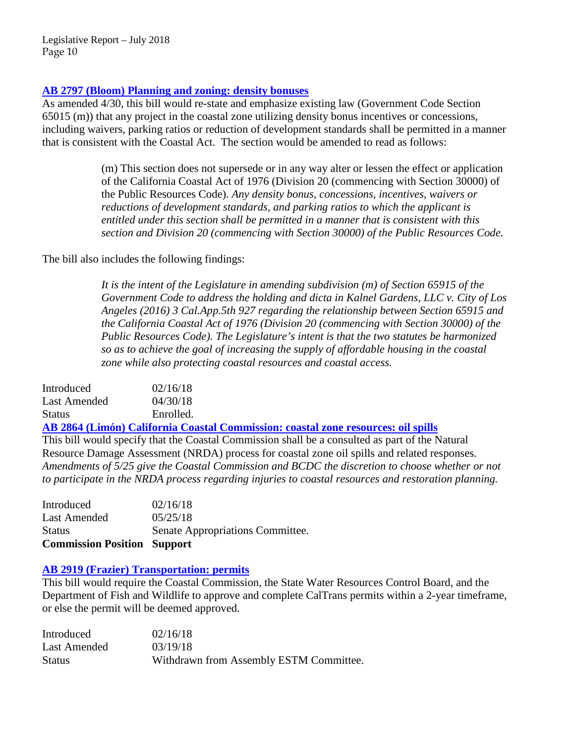## **[AB 2797 \(Bloom\) Planning and zoning: density bonuses](http://leginfo.legislature.ca.gov/faces/billNavClient.xhtml?bill_id=201720180AB2797)**

As amended 4/30, this bill would re-state and emphasize existing law (Government Code Section 65015 (m)) that any project in the coastal zone utilizing density bonus incentives or concessions, including waivers, parking ratios or reduction of development standards shall be permitted in a manner that is consistent with the Coastal Act. The section would be amended to read as follows:

> (m) This section does not supersede or in any way alter or lessen the effect or application of the California Coastal Act of 1976 (Division 20 (commencing with Section 30000) of the Public Resources Code). *Any density bonus, concessions, incentives, waivers or reductions of development standards, and parking ratios to which the applicant is entitled under this section shall be permitted in a manner that is consistent with this section and Division 20 (commencing with Section 30000) of the Public Resources Code.*

The bill also includes the following findings:

*It is the intent of the Legislature in amending subdivision (m) of Section 65915 of the Government Code to address the holding and dicta in Kalnel Gardens, LLC v. City of Los Angeles (2016) 3 Cal.App.5th 927 regarding the relationship between Section 65915 and the California Coastal Act of 1976 (Division 20 (commencing with Section 30000) of the Public Resources Code). The Legislature's intent is that the two statutes be harmonized so as to achieve the goal of increasing the supply of affordable housing in the coastal zone while also protecting coastal resources and coastal access.*

| Introduced    | 02/16/18  |
|---------------|-----------|
| Last Amended  | 04/30/18  |
| <b>Status</b> | Enrolled. |

**[AB 2864 \(Limón\) California Coastal Commission: coastal zone resources: oil spills](http://leginfo.legislature.ca.gov/faces/billNavClient.xhtml?bill_id=201720180AB2864)**

This bill would specify that the Coastal Commission shall be a consulted as part of the Natural Resource Damage Assessment (NRDA) process for coastal zone oil spills and related responses. *Amendments of 5/25 give the Coastal Commission and BCDC the discretion to choose whether or not to participate in the NRDA process regarding injuries to coastal resources and restoration planning.*

Introduced 02/16/18 Last Amended 05/25/18 Status Senate Appropriations Committee. **Commission Position Support**

## **[AB 2919 \(Frazier\) Transportation: permits](http://leginfo.legislature.ca.gov/faces/billNavClient.xhtml?bill_id=201720180AB2919)**

This bill would require the Coastal Commission, the State Water Resources Control Board, and the Department of Fish and Wildlife to approve and complete CalTrans permits within a 2-year timeframe, or else the permit will be deemed approved.

| Introduced    | 02/16/18                                |
|---------------|-----------------------------------------|
| Last Amended  | 03/19/18                                |
| <b>Status</b> | Withdrawn from Assembly ESTM Committee. |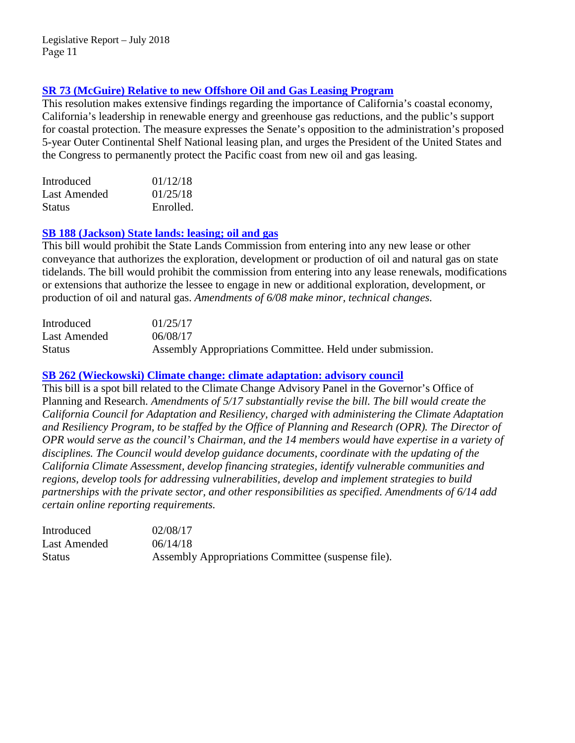# **[SR 73 \(McGuire\) Relative to new Offshore Oil and Gas Leasing Program](http://leginfo.legislature.ca.gov/faces/billTextClient.xhtml?bill_id=201720180SR73)**

This resolution makes extensive findings regarding the importance of California's coastal economy, California's leadership in renewable energy and greenhouse gas reductions, and the public's support for coastal protection. The measure expresses the Senate's opposition to the administration's proposed 5-year Outer Continental Shelf National leasing plan, and urges the President of the United States and the Congress to permanently protect the Pacific coast from new oil and gas leasing.

| Introduced    | 01/12/18  |
|---------------|-----------|
| Last Amended  | 01/25/18  |
| <b>Status</b> | Enrolled. |

## **SB 188 (Jackson) [State lands: leasing; oil and gas](http://leginfo.legislature.ca.gov/faces/billNavClient.xhtml?bill_id=201720180SB188)**

This bill would prohibit the State Lands Commission from entering into any new lease or other conveyance that authorizes the exploration, development or production of oil and natural gas on state tidelands. The bill would prohibit the commission from entering into any lease renewals, modifications or extensions that authorize the lessee to engage in new or additional exploration, development, or production of oil and natural gas. *Amendments of 6/08 make minor, technical changes.*

| Introduced    | 01/25/17                                                  |
|---------------|-----------------------------------------------------------|
| Last Amended  | 06/08/17                                                  |
| <b>Status</b> | Assembly Appropriations Committee. Held under submission. |

## **[SB 262 \(Wieckowski\) Climate change: climate adaptation: advisory council](https://leginfo.legislature.ca.gov/faces/billNavClient.xhtml?bill_id=201720180SB262)**

This bill is a spot bill related to the Climate Change Advisory Panel in the Governor's Office of Planning and Research. *Amendments of 5/17 substantially revise the bill. The bill would create the California Council for Adaptation and Resiliency, charged with administering the Climate Adaptation and Resiliency Program, to be staffed by the Office of Planning and Research (OPR). The Director of OPR would serve as the council's Chairman, and the 14 members would have expertise in a variety of disciplines. The Council would develop guidance documents, coordinate with the updating of the California Climate Assessment, develop financing strategies, identify vulnerable communities and regions, develop tools for addressing vulnerabilities, develop and implement strategies to build partnerships with the private sector, and other responsibilities as specified. Amendments of 6/14 add certain online reporting requirements.*

| Introduced    | 02/08/17                                           |
|---------------|----------------------------------------------------|
| Last Amended  | 06/14/18                                           |
| <b>Status</b> | Assembly Appropriations Committee (suspense file). |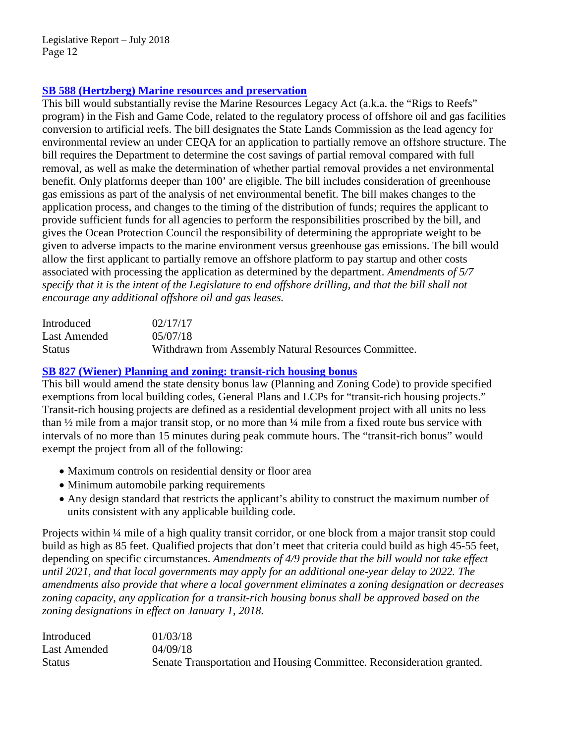# **[SB 588 \(Hertzberg\) Marine resources and preservation](http://leginfo.legislature.ca.gov/faces/billTextClient.xhtml?bill_id=201720180SB588&search_keywords=coastal)**

This bill would substantially revise the Marine Resources Legacy Act (a.k.a. the "Rigs to Reefs" program) in the Fish and Game Code, related to the regulatory process of offshore oil and gas facilities conversion to artificial reefs. The bill designates the State Lands Commission as the lead agency for environmental review an under CEQA for an application to partially remove an offshore structure. The bill requires the Department to determine the cost savings of partial removal compared with full removal, as well as make the determination of whether partial removal provides a net environmental benefit. Only platforms deeper than 100' are eligible. The bill includes consideration of greenhouse gas emissions as part of the analysis of net environmental benefit. The bill makes changes to the application process, and changes to the timing of the distribution of funds; requires the applicant to provide sufficient funds for all agencies to perform the responsibilities proscribed by the bill, and gives the Ocean Protection Council the responsibility of determining the appropriate weight to be given to adverse impacts to the marine environment versus greenhouse gas emissions. The bill would allow the first applicant to partially remove an offshore platform to pay startup and other costs associated with processing the application as determined by the department. *Amendments of 5/7 specify that it is the intent of the Legislature to end offshore drilling, and that the bill shall not encourage any additional offshore oil and gas leases.*

| Introduced    | 02/17/17                                             |
|---------------|------------------------------------------------------|
| Last Amended  | 05/07/18                                             |
| <b>Status</b> | Withdrawn from Assembly Natural Resources Committee. |

# **[SB 827 \(Wiener\) Planning and zoning: transit-rich housing bonus](http://leginfo.legislature.ca.gov/faces/billNavClient.xhtml?bill_id=201720180SB827)**

This bill would amend the state density bonus law (Planning and Zoning Code) to provide specified exemptions from local building codes, General Plans and LCPs for "transit-rich housing projects." Transit-rich housing projects are defined as a residential development project with all units no less than  $\frac{1}{2}$  mile from a major transit stop, or no more than  $\frac{1}{4}$  mile from a fixed route bus service with intervals of no more than 15 minutes during peak commute hours. The "transit-rich bonus" would exempt the project from all of the following:

- Maximum controls on residential density or floor area
- Minimum automobile parking requirements
- Any design standard that restricts the applicant's ability to construct the maximum number of units consistent with any applicable building code.

Projects within ¼ mile of a high quality transit corridor, or one block from a major transit stop could build as high as 85 feet. Qualified projects that don't meet that criteria could build as high 45-55 feet, depending on specific circumstances. *Amendments of 4/9 provide that the bill would not take effect until 2021, and that local governments may apply for an additional one-year delay to 2022. The amendments also provide that where a local government eliminates a zoning designation or decreases*  zoning capacity, any application for a transit-rich housing bonus shall be approved based on the *zoning designations in effect on January 1, 2018.*

| Introduced    | 01/03/18                                                              |
|---------------|-----------------------------------------------------------------------|
| Last Amended  | 04/09/18                                                              |
| <b>Status</b> | Senate Transportation and Housing Committee. Reconsideration granted. |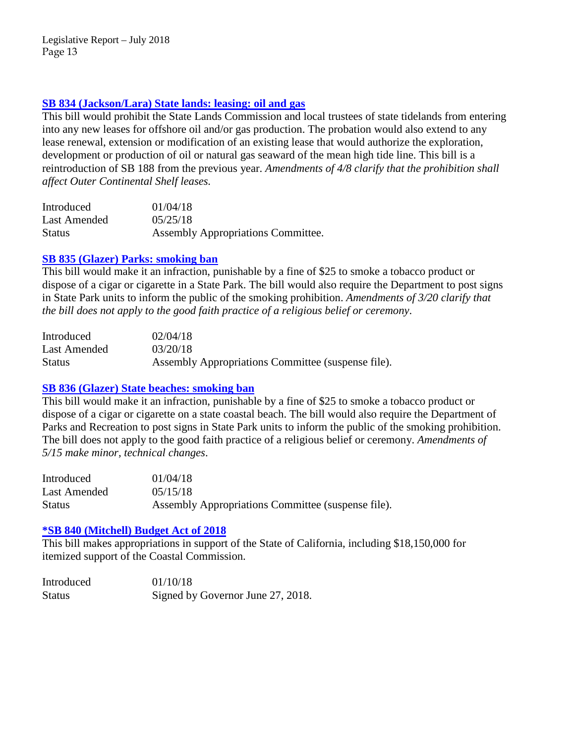# **[SB 834 \(Jackson/Lara\) State lands: leasing: oil and gas](http://leginfo.legislature.ca.gov/faces/billNavClient.xhtml?bill_id=201720180SB834)**

This bill would prohibit the State Lands Commission and local trustees of state tidelands from entering into any new leases for offshore oil and/or gas production. The probation would also extend to any lease renewal, extension or modification of an existing lease that would authorize the exploration, development or production of oil or natural gas seaward of the mean high tide line. This bill is a reintroduction of SB 188 from the previous year. *Amendments of 4/8 clarify that the prohibition shall affect Outer Continental Shelf leases.*

| Introduced    | 01/04/18                                  |
|---------------|-------------------------------------------|
| Last Amended  | 05/25/18                                  |
| <b>Status</b> | <b>Assembly Appropriations Committee.</b> |

# **SB 835 (Glazer) [Parks: smoking ban](http://leginfo.legislature.ca.gov/faces/billNavClient.xhtml?bill_id=201720180SB835)**

This bill would make it an infraction, punishable by a fine of \$25 to smoke a tobacco product or dispose of a cigar or cigarette in a State Park. The bill would also require the Department to post signs in State Park units to inform the public of the smoking prohibition. *Amendments of 3/20 clarify that the bill does not apply to the good faith practice of a religious belief or ceremony*.

| Introduced    | 02/04/18                                           |
|---------------|----------------------------------------------------|
| Last Amended  | 03/20/18                                           |
| <b>Status</b> | Assembly Appropriations Committee (suspense file). |

# **SB 836 (Glazer) [State beaches: smoking ban](http://leginfo.legislature.ca.gov/faces/billNavClient.xhtml?bill_id=201720180SB836)**

This bill would make it an infraction, punishable by a fine of \$25 to smoke a tobacco product or dispose of a cigar or cigarette on a state coastal beach. The bill would also require the Department of Parks and Recreation to post signs in State Park units to inform the public of the smoking prohibition. The bill does not apply to the good faith practice of a religious belief or ceremony. *Amendments of 5/15 make minor, technical changes*.

| Introduced   | 01/04/18                                           |
|--------------|----------------------------------------------------|
| Last Amended | 05/15/18                                           |
| Status       | Assembly Appropriations Committee (suspense file). |

# **[\\*SB 840 \(Mitchell\) Budget Act of 2018](http://leginfo.legislature.ca.gov/faces/billNavClient.xhtml?bill_id=201720180SB840)**

This bill makes appropriations in support of the State of California, including \$18,150,000 for itemized support of the Coastal Commission.

| Introduced    | 01/10/18                          |
|---------------|-----------------------------------|
| <b>Status</b> | Signed by Governor June 27, 2018. |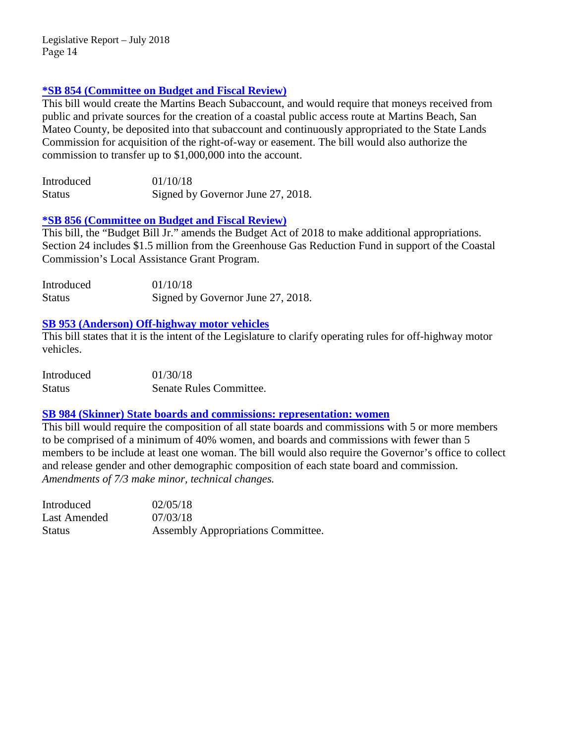## **[\\*SB 854 \(Committee on Budget and Fiscal Review\)](https://leginfo.legislature.ca.gov/faces/billTextClient.xhtml?bill_id=201720180SB854)**

This bill would create the Martins Beach Subaccount, and would require that moneys received from public and private sources for the creation of a coastal public access route at Martins Beach, San Mateo County, be deposited into that subaccount and continuously appropriated to the State Lands Commission for acquisition of the right-of-way or easement. The bill would also authorize the commission to transfer up to \$1,000,000 into the account.

| Introduced    | 01/10/18                          |
|---------------|-----------------------------------|
| <b>Status</b> | Signed by Governor June 27, 2018. |

## **\*SB 856 [\(Committee on Budget and Fiscal Review\)](http://leginfo.legislature.ca.gov/faces/billTextClient.xhtml?bill_id=201720180SB856)**

This bill, the "Budget Bill Jr." amends the Budget Act of 2018 to make additional appropriations. Section 24 includes \$1.5 million from the Greenhouse Gas Reduction Fund in support of the Coastal Commission's Local Assistance Grant Program.

| Introduced    | 01/10/18                          |
|---------------|-----------------------------------|
| <b>Status</b> | Signed by Governor June 27, 2018. |

## **[SB 953 \(Anderson\) Off-highway motor vehicles](https://leginfo.legislature.ca.gov/faces/billTextClient.xhtml?bill_id=201720180SB953)**

This bill states that it is the intent of the Legislature to clarify operating rules for off-highway motor vehicles.

| Introduced    | 01/30/18                |
|---------------|-------------------------|
| <b>Status</b> | Senate Rules Committee. |

## **[SB 984 \(Skinner\) State boards and commissions: representation: women](http://leginfo.legislature.ca.gov/faces/billNavClient.xhtml?bill_id=201720180SB984)**

This bill would require the composition of all state boards and commissions with 5 or more members to be comprised of a minimum of 40% women, and boards and commissions with fewer than 5 members to be include at least one woman. The bill would also require the Governor's office to collect and release gender and other demographic composition of each state board and commission. *Amendments of 7/3 make minor, technical changes.*

| Introduced    | 02/05/18                           |
|---------------|------------------------------------|
| Last Amended  | 07/03/18                           |
| <b>Status</b> | Assembly Appropriations Committee. |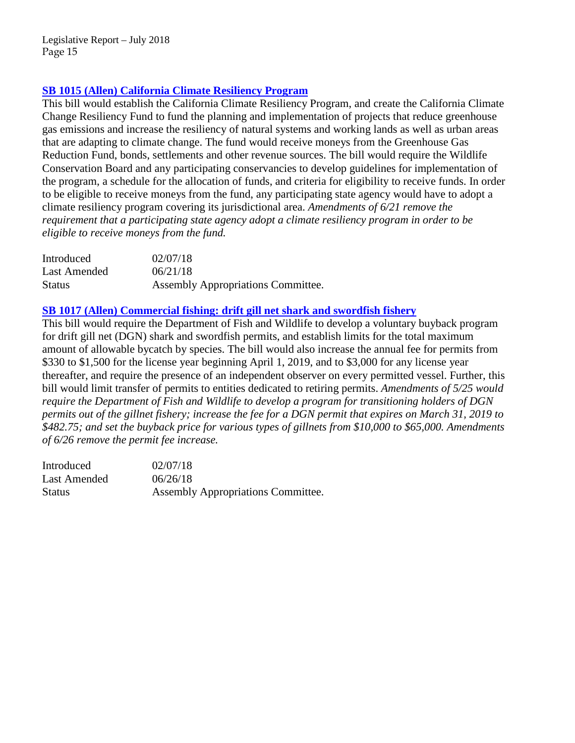# **SB 1015 (Allen) California [Climate Resiliency Program](http://leginfo.legislature.ca.gov/faces/billNavClient.xhtml?bill_id=201720180SB1015)**

This bill would establish the California Climate Resiliency Program, and create the California Climate Change Resiliency Fund to fund the planning and implementation of projects that reduce greenhouse gas emissions and increase the resiliency of natural systems and working lands as well as urban areas that are adapting to climate change. The fund would receive moneys from the Greenhouse Gas Reduction Fund, bonds, settlements and other revenue sources. The bill would require the Wildlife Conservation Board and any participating conservancies to develop guidelines for implementation of the program, a schedule for the allocation of funds, and criteria for eligibility to receive funds. In order to be eligible to receive moneys from the fund, any participating state agency would have to adopt a climate resiliency program covering its jurisdictional area. *Amendments of 6/21 remove the requirement that a participating state agency adopt a climate resiliency program in order to be eligible to receive moneys from the fund.*

| Introduced    | 02/07/18                           |
|---------------|------------------------------------|
| Last Amended  | 06/21/18                           |
| <b>Status</b> | Assembly Appropriations Committee. |

# **[SB 1017 \(Allen\) Commercial fishing: drift gill net shark and swordfish fishery](http://leginfo.legislature.ca.gov/faces/billNavClient.xhtml?bill_id=201720180SB1017)**

This bill would require the Department of Fish and Wildlife to develop a voluntary buyback program for drift gill net (DGN) shark and swordfish permits, and establish limits for the total maximum amount of allowable bycatch by species. The bill would also increase the annual fee for permits from \$330 to \$1,500 for the license year beginning April 1, 2019, and to \$3,000 for any license year thereafter, and require the presence of an independent observer on every permitted vessel. Further, this bill would limit transfer of permits to entities dedicated to retiring permits. *Amendments of 5/25 would require the Department of Fish and Wildlife to develop a program for transitioning holders of DGN permits out of the gillnet fishery; increase the fee for a DGN permit that expires on March 31, 2019 to \$482.75; and set the buyback price for various types of gillnets from \$10,000 to \$65,000. Amendments of 6/26 remove the permit fee increase.*

| Introduced    | 02/07/18                                  |
|---------------|-------------------------------------------|
| Last Amended  | 06/26/18                                  |
| <b>Status</b> | <b>Assembly Appropriations Committee.</b> |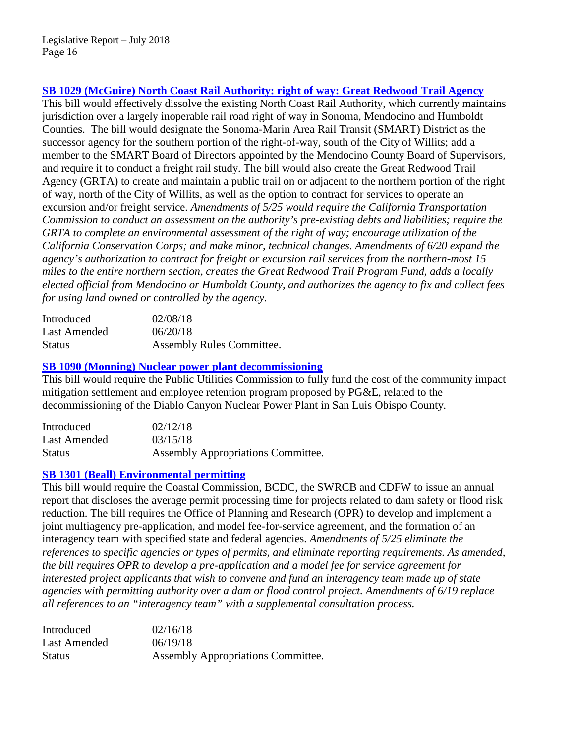# **[SB 1029 \(McGuire\) North Coast Rail Authority: right of way: Great Redwood Trail Agency](http://leginfo.legislature.ca.gov/faces/billNavClient.xhtml?bill_id=201720180SB1029)**

This bill would effectively dissolve the existing North Coast Rail Authority, which currently maintains jurisdiction over a largely inoperable rail road right of way in Sonoma, Mendocino and Humboldt Counties. The bill would designate the Sonoma-Marin Area Rail Transit (SMART) District as the successor agency for the southern portion of the right-of-way, south of the City of Willits; add a member to the SMART Board of Directors appointed by the Mendocino County Board of Supervisors, and require it to conduct a freight rail study. The bill would also create the Great Redwood Trail Agency (GRTA) to create and maintain a public trail on or adjacent to the northern portion of the right of way, north of the City of Willits, as well as the option to contract for services to operate an excursion and/or freight service. *Amendments of 5/25 would require the California Transportation Commission to conduct an assessment on the authority's pre-existing debts and liabilities; require the GRTA to complete an environmental assessment of the right of way; encourage utilization of the California Conservation Corps; and make minor, technical changes. Amendments of 6/20 expand the agency's authorization to contract for freight or excursion rail services from the northern-most 15 miles to the entire northern section, creates the Great Redwood Trail Program Fund, adds a locally elected official from Mendocino or Humboldt County, and authorizes the agency to fix and collect fees for using land owned or controlled by the agency.*

| Introduced    | 02/08/18                  |
|---------------|---------------------------|
| Last Amended  | 06/20/18                  |
| <b>Status</b> | Assembly Rules Committee. |

## **[SB 1090 \(Monning\) Nuclear power plant decommissioning](http://leginfo.legislature.ca.gov/faces/billNavClient.xhtml?bill_id=201720180SB1090)**

This bill would require the Public Utilities Commission to fully fund the cost of the community impact mitigation settlement and employee retention program proposed by PG&E, related to the decommissioning of the Diablo Canyon Nuclear Power Plant in San Luis Obispo County.

| Introduced    | 02/12/18                                  |
|---------------|-------------------------------------------|
| Last Amended  | 03/15/18                                  |
| <b>Status</b> | <b>Assembly Appropriations Committee.</b> |

## **[SB 1301 \(Beall\) Environmental permitting](http://leginfo.legislature.ca.gov/faces/billNavClient.xhtml?bill_id=201720180SB1301)**

This bill would require the Coastal Commission, BCDC, the SWRCB and CDFW to issue an annual report that discloses the average permit processing time for projects related to dam safety or flood risk reduction. The bill requires the Office of Planning and Research (OPR) to develop and implement a joint multiagency pre-application, and model fee-for-service agreement, and the formation of an interagency team with specified state and federal agencies. *Amendments of 5/25 eliminate the references to specific agencies or types of permits, and eliminate reporting requirements. As amended, the bill requires OPR to develop a pre-application and a model fee for service agreement for interested project applicants that wish to convene and fund an interagency team made up of state agencies with permitting authority over a dam or flood control project. Amendments of 6/19 replace all references to an "interagency team" with a supplemental consultation process.*

| Introduced    | 02/16/18                           |
|---------------|------------------------------------|
| Last Amended  | 06/19/18                           |
| <b>Status</b> | Assembly Appropriations Committee. |